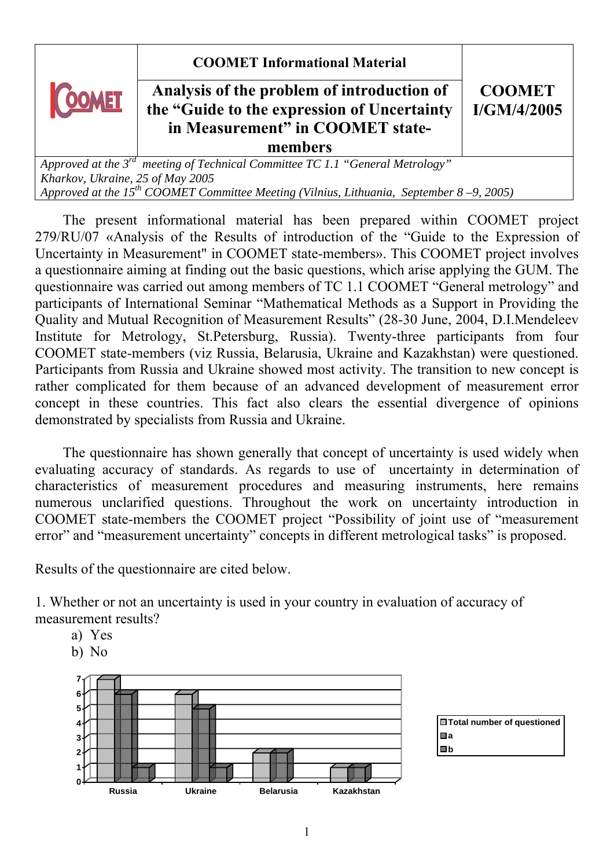**COOMET Informational Material** 



## **Analysis of the problem of introduction of the "Guide to the expression of Uncertainty in Measurement" in COOMET statemembers**

**CООМЕТ I/GM/4/2005**

*Approved at the 3rd meeting of Technical Committee TC 1.1 "General Metrology" Kharkov, Ukraine, 25 of May 2005 Approved at the 15th COOMET Committee Meeting (Vilnius, Lithuania, September 8 –9, 2005)*

The present informational material has been prepared within COOMET project 279/RU/07 «Analysis of the Results of introduction of the "Guide to the Expression of Uncertainty in Measurement" in COOMET state-members». This COOMET project involves a questionnaire aiming at finding out the basic questions, which arise applying the GUM. The questionnaire was carried out among members of TC 1.1 COOMET "General metrology" and participants of International Seminar "Mathematical Methods as a Support in Providing the Quality and Mutual Recognition of Measurement Results" (28-30 June, 2004, D.I.Mendeleev Institute for Metrology, St.Petersburg, Russia). Twenty-three participants from four COOMET state-members (viz Russia, Belarusia, Ukraine and Kazakhstan) were questioned. Participants from Russia and Ukraine showed most activity. The transition to new concept is rather complicated for them because of an advanced development of measurement error concept in these countries. This fact also clears the essential divergence of opinions demonstrated by specialists from Russia and Ukraine.

The questionnaire has shown generally that concept of uncertainty is used widely when evaluating accuracy of standards. As regards to use of uncertainty in determination of characteristics of measurement procedures and measuring instruments, here remains numerous unclarified questions. Throughout the work on uncertainty introduction in COOMET state-members the COOMET project "Possibility of joint use of "measurement error" and "measurement uncertainty" concepts in different metrological tasks" is proposed.

Results of the questionnaire are cited below.

1. Whether or not an uncertainty is used in your country in evaluation of accuracy of measurement results?

- a) Yes
- b) No

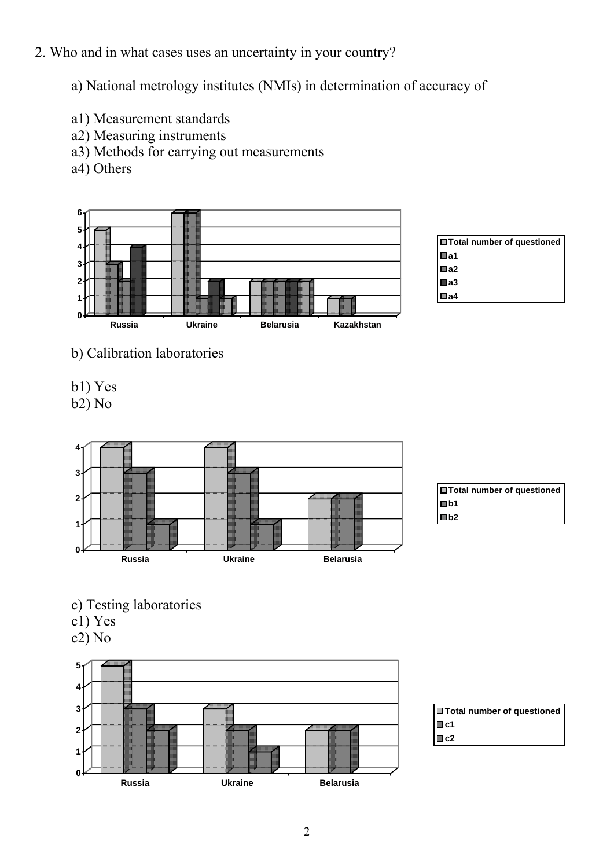## 2. Who and in what cases uses an uncertainty in your country?

a) National metrology institutes (NMIs) in determination of accuracy of

- а1) Measurement standards
- a2) Measuring instruments
- a3) Methods for carrying out measurements
- a4) Others



| 日Total number of questioned |
|-----------------------------|
| Wa1                         |
| $\Box$ a2                   |
| ■a3                         |
| ⊞ a4                        |

- b) Calibration laboratories
- b1) Yes

b2) No





- c) Testing laboratories
- с1) Yes
- с2) No



**Total number of questioned** ■c1 **c2**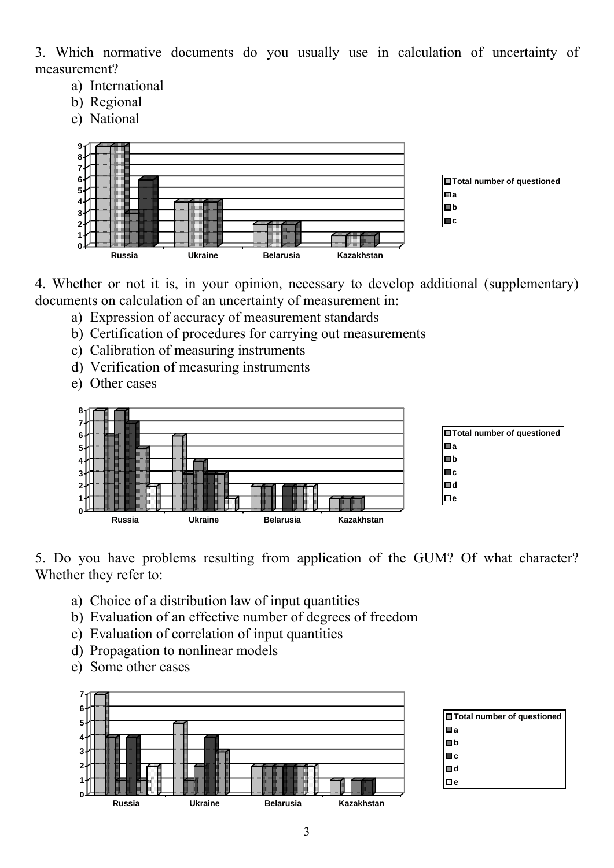3. Which normative documents do you usually use in calculation of uncertainty of measurement?

- a) International
- b) Regional
- c) National



4. Whether or not it is, in your opinion, necessary to develop additional (supplementary) documents on calculation of an uncertainty of measurement in:

- a) Expression of accuracy of measurement standards
- b) Certification of procedures for carrying out measurements
- c) Calibration of measuring instruments
- d) Verification of measuring instruments
- e) Other cases



5. Do you have problems resulting from application of the GUM? Of what character? Whether they refer to:

- a) Choice of a distribution law of input quantities
- b) Evaluation of an effective number of degrees of freedom
- c) Evaluation of correlation of input quantities
- d) Propagation to nonlinear models
- e) Some other cases

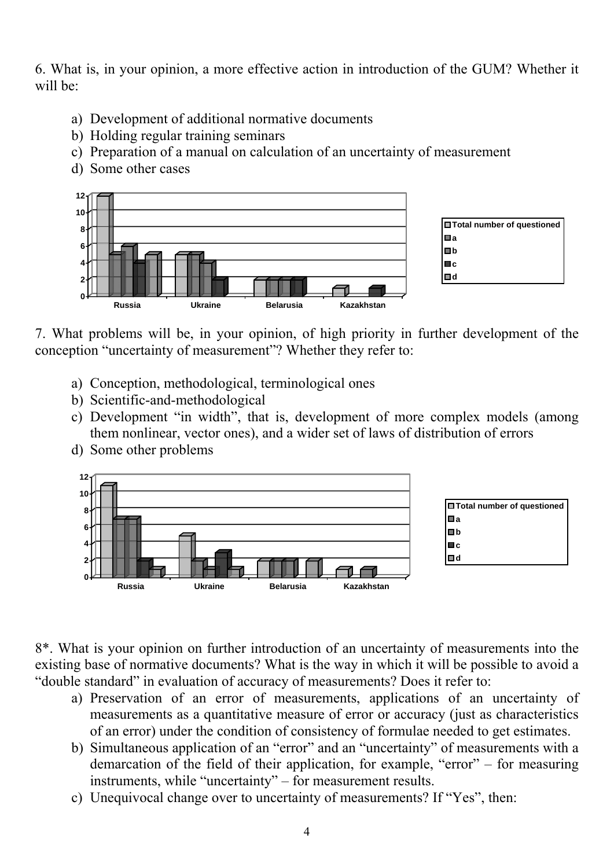6. What is, in your opinion, a more effective action in introduction of the GUM? Whether it will be:

- a) Development of additional normative documents
- b) Holding regular training seminars
- c) Preparation of a manual on calculation of an uncertainty of measurement
- d) Some other cases



7. What problems will be, in your opinion, of high priority in further development of the conception "uncertainty of measurement"? Whether they refer to:

- a) Conception, methodological, terminological ones
- b) Scientific-and-methodological
- c) Development "in width", that is, development of more complex models (among them nonlinear, vector ones), and a wider set of laws of distribution of errors
- d) Some other problems



8\*. What is your opinion on further introduction of an uncertainty of measurements into the existing base of normative documents? What is the way in which it will be possible to avoid a "double standard" in evaluation of accuracy of measurements? Does it refer to:

- a) Preservation of an error of measurements, applications of an uncertainty of measurements as a quantitative measure of error or accuracy (just as characteristics of an error) under the condition of consistency of formulae needed to get estimates.
- b) Simultaneous application of an "error" and an "uncertainty" of measurements with a demarcation of the field of their application, for example, "error" – for measuring instruments, while "uncertainty" – for measurement results.
- c) Unequivocal change over to uncertainty of measurements? If "Yes", then: